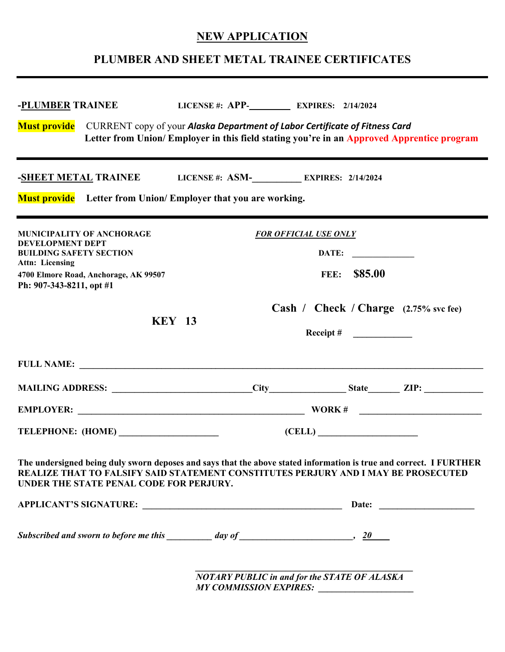## **NEW APPLICATION**

## **PLUMBER AND SHEET METAL TRAINEE CERTIFICATES**

| -PLUMBER TRAINEE                                                                                                                                                                                                                                    | LICENSE #: APP-<br>EXPIRES: 2/14/2024                                                     |                                                                    |  |
|-----------------------------------------------------------------------------------------------------------------------------------------------------------------------------------------------------------------------------------------------------|-------------------------------------------------------------------------------------------|--------------------------------------------------------------------|--|
| Must provide CURRENT copy of your Alaska Department of Labor Certificate of Fitness Card                                                                                                                                                            | Letter from Union/Employer in this field stating you're in an Approved Apprentice program |                                                                    |  |
| -SHEET METAL TRAINEE LICENSE #: ASM- LICENSE # 2/14/2024<br><b>Must provide</b> Letter from Union/Employer that you are working.                                                                                                                    |                                                                                           |                                                                    |  |
| MUNICIPALITY OF ANCHORAGE<br><b>DEVELOPMENT DEPT</b><br><b>BUILDING SAFETY SECTION</b><br><b>Attn: Licensing</b><br>4700 Elmore Road, Anchorage, AK 99507<br>Ph: 907-343-8211, opt #1                                                               |                                                                                           | <b>FOR OFFICIAL USE ONLY</b><br>\$85.00<br>FEE:                    |  |
| <b>KEY 13</b>                                                                                                                                                                                                                                       |                                                                                           | Cash / Check / Charge (2.75% svc fee)<br>Receipt # $\qquad \qquad$ |  |
|                                                                                                                                                                                                                                                     |                                                                                           |                                                                    |  |
|                                                                                                                                                                                                                                                     |                                                                                           |                                                                    |  |
| TELEPHONE: (HOME)                                                                                                                                                                                                                                   | (CELL)                                                                                    |                                                                    |  |
| The undersigned being duly sworn deposes and says that the above stated information is true and correct. I FURTHER<br>REALIZE THAT TO FALSIFY SAID STATEMENT CONSTITUTES PERJURY AND I MAY BE PROSECUTED<br>UNDER THE STATE PENAL CODE FOR PERJURY. |                                                                                           |                                                                    |  |
|                                                                                                                                                                                                                                                     |                                                                                           |                                                                    |  |
| Subscribed and sworn to before me this $\frac{1}{\sqrt{2\pi}}$ day of $\frac{1}{\sqrt{2\pi}}$ , $\frac{20}{\sqrt{2\pi}}$                                                                                                                            |                                                                                           |                                                                    |  |
|                                                                                                                                                                                                                                                     | <b>NOTARY PUBLIC in and for the STATE OF ALASKA</b>                                       |                                                                    |  |

*MY COMMISSION EXPIRES: \_\_\_\_\_\_\_\_\_\_\_\_\_\_\_\_\_\_\_\_\_*